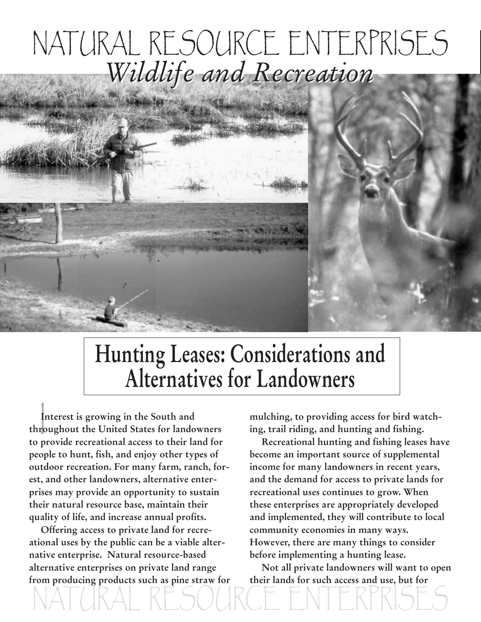## NATURAL RESOURCE ENTERPRISES *Wildlife and Recreation*

## **Hunting Leases: Considerations and Alternatives for Landowners**

NATURAL RESOURCE ENTERPRISES

 $\begin{bmatrix} 1 \\ 1 \\ 1 \end{bmatrix}$ **Interest is growing in the South and throughout the United States for landowners to provide recreational access to their land for people to hunt, fish, and enjoy other types of outdoor recreation. For many farm, ranch, forest, and other landowners, alternative enterprises may provide an opportunity to sustain their natural resource base, maintain their quality of life, and increase annual profits.**

**Offering access to private land for recreational uses by the public can be a viable alternative enterprise. Natural resource-based alternative enterprises on private land range from producing products such as pine straw for** **mulching, to providing access for bird watching, trail riding, and hunting and fishing.**

**Recreational hunting and fishing leases have become an important source of supplemental income for many landowners in recent years, and the demand for access to private lands for recreational uses continues to grow. When these enterprises are appropriately developed and implemented, they will contribute to local community economies in many ways. However, there are many things to consider before implementing a hunting lease.**

**Not all private landowners will want to open their lands for such access and use, but for**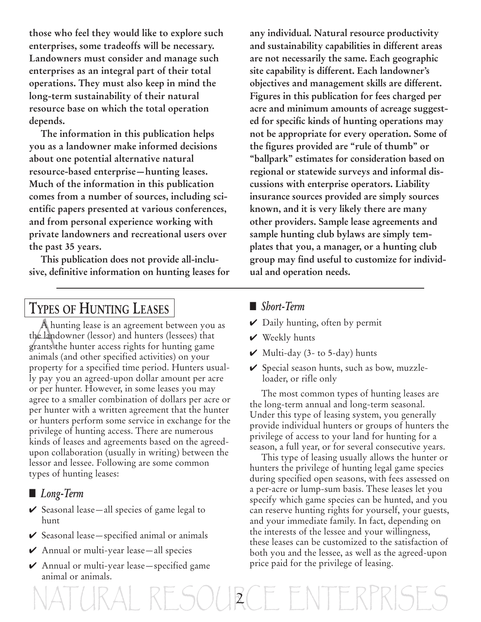**those who feel they would like to explore such enterprises, some tradeoffs will be necessary. Landowners must consider and manage such enterprises as an integral part of their total operations. They must also keep in mind the long-term sustainability of their natural resource base on which the total operation depends.**

**The information in this publication helps you as a landowner make informed decisions about one potential alternative natural resource-based enterprise—hunting leases. Much of the information in this publication comes from a number of sources, including scientific papers presented at various conferences, and from personal experience working with private landowners and recreational users over the past 35 years.**

**This publication does not provide all-inclusive, definitive information on hunting leases for**

**any individual. Natural resource productivity and sustainability capabilities in different areas are not necessarily the same. Each geographic site capability is different. Each landowner's objectives and management skills are different. Figures in this publication for fees charged per acre and minimum amounts of acreage suggested for specific kinds of hunting operations may not be appropriate for every operation. Some of the figures provided are "rule of thumb" or "ballpark" estimates for consideration based on regional or statewide surveys and informal discussions with enterprise operators. Liability insurance sources provided are simply sources known, and it is very likely there are many other providers. Sample lease agreements and sample hunting club bylaws are simply templates that you, a manager, or a hunting club group may find useful to customize for individual and operation needs.**

### **TYPES OF HUNTING LEASES**

A hunting lease is an agreement between you<br>the landowner (lessor) and hunters (lessees) that A hunting lease is an agreement between you as grants the hunter access rights for hunting game animals (and other specified activities) on your property for a specified time period. Hunters usually pay you an agreed-upon dollar amount per acre or per hunter. However, in some leases you may agree to a smaller combination of dollars per acre or per hunter with a written agreement that the hunter or hunters perform some service in exchange for the privilege of hunting access. There are numerous kinds of leases and agreements based on the agreedupon collaboration (usually in writing) between the lessor and lessee. Following are some common types of hunting leases:

- **■** *Long-Term*
- **✔** Seasonal lease—all species of game legal to hunt
- **✔** Seasonal lease—specified animal or animals
- **✔** Annual or multi-year lease—all species
- **✔** Annual or multi-year lease—specified game animal or animals.

#### **■** *Short-Term*

- **✔** Daily hunting, often by permit
- **✔** Weekly hunts

 $ES()$  $R$   $FNN$ 

- **✔** Multi-day (3- to 5-day) hunts
- **✔** Special season hunts, such as bow, muzzleloader, or rifle only

The most common types of hunting leases are the long-term annual and long-term seasonal. Under this type of leasing system, you generally provide individual hunters or groups of hunters the privilege of access to your land for hunting for a season, a full year, or for several consecutive years.

This type of leasing usually allows the hunter or hunters the privilege of hunting legal game species during specified open seasons, with fees assessed on a per-acre or lump-sum basis. These leases let you specify which game species can be hunted, and you can reserve hunting rights for yourself, your guests, and your immediate family. In fact, depending on the interests of the lessee and your willingness, these leases can be customized to the satisfaction of both you and the lessee, as well as the agreed-upon price paid for the privilege of leasing.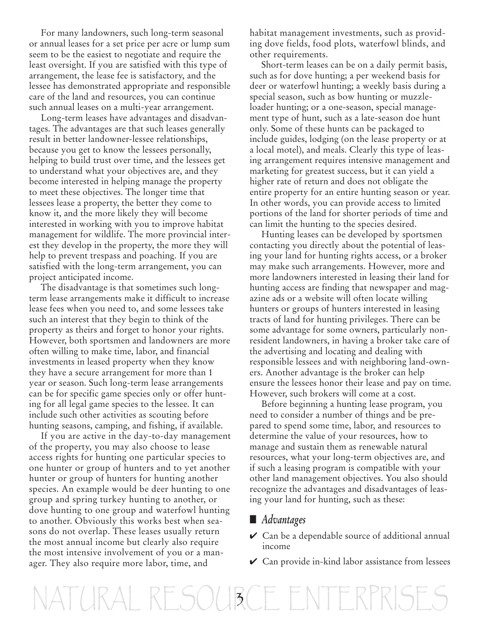For many landowners, such long-term seasonal or annual leases for a set price per acre or lump sum seem to be the easiest to negotiate and require the least oversight. If you are satisfied with this type of arrangement, the lease fee is satisfactory, and the lessee has demonstrated appropriate and responsible care of the land and resources, you can continue such annual leases on a multi-year arrangement.

Long-term leases have advantages and disadvantages. The advantages are that such leases generally result in better landowner-lessee relationships, because you get to know the lessees personally, helping to build trust over time, and the lessees get to understand what your objectives are, and they become interested in helping manage the property to meet these objectives. The longer time that lessees lease a property, the better they come to know it, and the more likely they will become interested in working with you to improve habitat management for wildlife. The more provincial interest they develop in the property, the more they will help to prevent trespass and poaching. If you are satisfied with the long-term arrangement, you can project anticipated income.

The disadvantage is that sometimes such longterm lease arrangements make it difficult to increase lease fees when you need to, and some lessees take such an interest that they begin to think of the property as theirs and forget to honor your rights. However, both sportsmen and landowners are more often willing to make time, labor, and financial investments in leased property when they know they have a secure arrangement for more than 1 year or season. Such long-term lease arrangements can be for specific game species only or offer hunting for all legal game species to the lessee. It can include such other activities as scouting before hunting seasons, camping, and fishing, if available.

If you are active in the day-to-day management of the property, you may also choose to lease access rights for hunting one particular species to one hunter or group of hunters and to yet another hunter or group of hunters for hunting another species. An example would be deer hunting to one group and spring turkey hunting to another, or dove hunting to one group and waterfowl hunting to another. Obviously this works best when seasons do not overlap. These leases usually return the most annual income but clearly also require the most intensive involvement of you or a manager. They also require more labor, time, and

habitat management investments, such as providing dove fields, food plots, waterfowl blinds, and other requirements.

Short-term leases can be on a daily permit basis, such as for dove hunting; a per weekend basis for deer or waterfowl hunting; a weekly basis during a special season, such as bow hunting or muzzleloader hunting; or a one-season, special management type of hunt, such as a late-season doe hunt only. Some of these hunts can be packaged to include guides, lodging (on the lease property or at a local motel), and meals. Clearly this type of leasing arrangement requires intensive management and marketing for greatest success, but it can yield a higher rate of return and does not obligate the entire property for an entire hunting season or year. In other words, you can provide access to limited portions of the land for shorter periods of time and can limit the hunting to the species desired.

Hunting leases can be developed by sportsmen contacting you directly about the potential of leasing your land for hunting rights access, or a broker may make such arrangements. However, more and more landowners interested in leasing their land for hunting access are finding that newspaper and magazine ads or a website will often locate willing hunters or groups of hunters interested in leasing tracts of land for hunting privileges. There can be some advantage for some owners, particularly nonresident landowners, in having a broker take care of the advertising and locating and dealing with responsible lessees and with neighboring land-owners. Another advantage is the broker can help ensure the lessees honor their lease and pay on time. However, such brokers will come at a cost.

Before beginning a hunting lease program, you need to consider a number of things and be prepared to spend some time, labor, and resources to determine the value of your resources, how to manage and sustain them as renewable natural resources, what your long-term objectives are, and if such a leasing program is compatible with your other land management objectives. You also should recognize the advantages and disadvantages of leasing your land for hunting, such as these:

#### **■** *Advantages*

- **✔** Can be a dependable source of additional annual income
- **✔** Can provide in-kind labor assistance from lessees

NATURAL RESOUBCE ENTERPI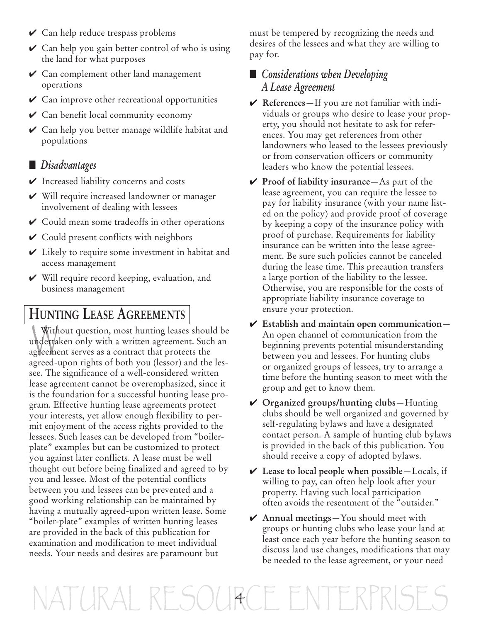- **✔** Can help reduce trespass problems
- **✔** Can help you gain better control of who is using the land for what purposes
- **✔** Can complement other land management operations
- **✔** Can improve other recreational opportunities
- **✔** Can benefit local community economy
- **✔** Can help you better manage wildlife habitat and populations

#### **■** *Disadvantages*

- **✔** Increased liability concerns and costs
- **✔** Will require increased landowner or manager involvement of dealing with lessees
- **✔** Could mean some tradeoffs in other operations
- **✔** Could present conflicts with neighbors
- **✔** Likely to require some investment in habitat and access management
- **✔** Will require record keeping, evaluation, and business management

### **HUNTING LEASE AGREEMENTS**

Without question, most hunting leases should be<br>undertaken only with a written agreement. Such an Without question, most hunting leases should be agreement serves as a contract that protects the agreed-upon rights of both you (lessor) and the lessee. The significance of a well-considered written lease agreement cannot be overemphasized, since it is the foundation for a successful hunting lease program. Effective hunting lease agreements protect your interests, yet allow enough flexibility to permit enjoyment of the access rights provided to the lessees. Such leases can be developed from "boilerplate" examples but can be customized to protect you against later conflicts. A lease must be well thought out before being finalized and agreed to by you and lessee. Most of the potential conflicts between you and lessees can be prevented and a good working relationship can be maintained by having a mutually agreed-upon written lease. Some "boiler-plate" examples of written hunting leases are provided in the back of this publication for examination and modification to meet individual needs. Your needs and desires are paramount but

must be tempered by recognizing the needs and desires of the lessees and what they are willing to pay for.

#### **■** *Considerations when Developing A Lease Agreement*

- **✔ References**—If you are not familiar with individuals or groups who desire to lease your property, you should not hesitate to ask for references. You may get references from other landowners who leased to the lessees previously or from conservation officers or community leaders who know the potential lessees.
- **✔ Proof of liability insurance**—As part of the lease agreement, you can require the lessee to pay for liability insurance (with your name listed on the policy) and provide proof of coverage by keeping a copy of the insurance policy with proof of purchase. Requirements for liability insurance can be written into the lease agreement. Be sure such policies cannot be canceled during the lease time. This precaution transfers a large portion of the liability to the lessee. Otherwise, you are responsible for the costs of appropriate liability insurance coverage to ensure your protection.
- **✔ Establish and maintain open communication** An open channel of communication from the beginning prevents potential misunderstanding between you and lessees. For hunting clubs or organized groups of lessees, try to arrange a time before the hunting season to meet with the group and get to know them.
- **✔ Organized groups/hunting clubs**—Hunting clubs should be well organized and governed by self-regulating bylaws and have a designated contact person. A sample of hunting club bylaws is provided in the back of this publication. You should receive a copy of adopted bylaws.
- **✔ Lease to local people when possible**—Locals, if willing to pay, can often help look after your property. Having such local participation often avoids the resentment of the "outsider."
- **✔ Annual meetings**—You should meet with groups or hunting clubs who lease your land at least once each year before the hunting season to discuss land use changes, modifications that may be needed to the lease agreement, or your need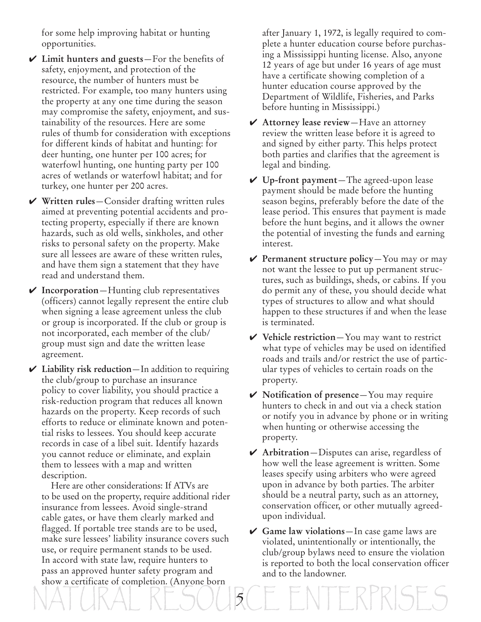for some help improving habitat or hunting opportunities.

- **✔ Limit hunters and guests**—For the benefits of safety, enjoyment, and protection of the resource, the number of hunters must be restricted. For example, too many hunters using the property at any one time during the season may compromise the safety, enjoyment, and sustainability of the resources. Here are some rules of thumb for consideration with exceptions for different kinds of habitat and hunting: for deer hunting, one hunter per 100 acres; for waterfowl hunting, one hunting party per 100 acres of wetlands or waterfowl habitat; and for turkey, one hunter per 200 acres.
- **✔ Written rules**—Consider drafting written rules aimed at preventing potential accidents and protecting property, especially if there are known hazards, such as old wells, sinkholes, and other risks to personal safety on the property. Make sure all lessees are aware of these written rules, and have them sign a statement that they have read and understand them.
- **✔ Incorporation**—Hunting club representatives (officers) cannot legally represent the entire club when signing a lease agreement unless the club or group is incorporated. If the club or group is not incorporated, each member of the club/ group must sign and date the written lease agreement.
- **✔ Liability risk reduction**—In addition to requiring the club/group to purchase an insurance policy to cover liability, you should practice a risk-reduction program that reduces all known hazards on the property. Keep records of such efforts to reduce or eliminate known and potential risks to lessees. You should keep accurate records in case of a libel suit. Identify hazards you cannot reduce or eliminate, and explain them to lessees with a map and written description.
- NATURAL RESOURCE ENTERPRISES Here are other considerations: If ATVs are to be used on the property, require additional rider insurance from lessees. Avoid single-strand cable gates, or have them clearly marked and flagged. If portable tree stands are to be used, make sure lessees' liability insurance covers such use, or require permanent stands to be used. In accord with state law, require hunters to pass an approved hunter safety program and show a certificate of completion. (Anyone born

after January 1, 1972, is legally required to complete a hunter education course before purchasing a Mississippi hunting license. Also, anyone 12 years of age but under 16 years of age must have a certificate showing completion of a hunter education course approved by the Department of Wildlife, Fisheries, and Parks before hunting in Mississippi.)

- **✔ Attorney lease review**—Have an attorney review the written lease before it is agreed to and signed by either party. This helps protect both parties and clarifies that the agreement is legal and binding.
- **✔ Up-front payment**—The agreed-upon lease payment should be made before the hunting season begins, preferably before the date of the lease period. This ensures that payment is made before the hunt begins, and it allows the owner the potential of investing the funds and earning interest.
- **✔ Permanent structure policy**—You may or may not want the lessee to put up permanent structures, such as buildings, sheds, or cabins. If you do permit any of these, you should decide what types of structures to allow and what should happen to these structures if and when the lease is terminated.
- **✔ Vehicle restriction**—You may want to restrict what type of vehicles may be used on identified roads and trails and/or restrict the use of particular types of vehicles to certain roads on the property.
- **✔ Notification of presence**—You may require hunters to check in and out via a check station or notify you in advance by phone or in writing when hunting or otherwise accessing the property.
- **✔ Arbitration**—Disputes can arise, regardless of how well the lease agreement is written. Some leases specify using arbiters who were agreed upon in advance by both parties. The arbiter should be a neutral party, such as an attorney, conservation officer, or other mutually agreedupon individual.
- **✔ Game law violations**—In case game laws are violated, unintentionally or intentionally, the club/group bylaws need to ensure the violation is reported to both the local conservation officer and to the landowner.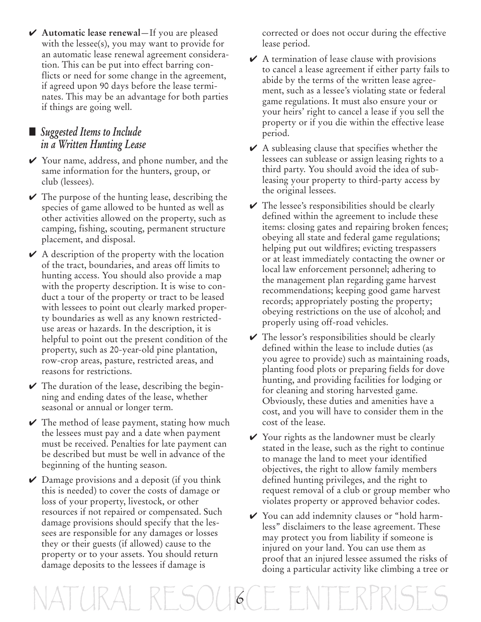**✔ Automatic lease renewal**—If you are pleased with the lessee(s), you may want to provide for an automatic lease renewal agreement consideration. This can be put into effect barring conflicts or need for some change in the agreement, if agreed upon 90 days before the lease terminates. This may be an advantage for both parties if things are going well.

#### **■** *Suggested Items to Include in a Written Hunting Lease*

- **✔** Your name, address, and phone number, and the same information for the hunters, group, or club (lessees).
- **✔** The purpose of the hunting lease, describing the species of game allowed to be hunted as well as other activities allowed on the property, such as camping, fishing, scouting, permanent structure placement, and disposal.
- **✔** A description of the property with the location of the tract, boundaries, and areas off limits to hunting access. You should also provide a map with the property description. It is wise to conduct a tour of the property or tract to be leased with lessees to point out clearly marked property boundaries as well as any known restricteduse areas or hazards. In the description, it is helpful to point out the present condition of the property, such as 20-year-old pine plantation, row-crop areas, pasture, restricted areas, and reasons for restrictions.
- **✔** The duration of the lease, describing the beginning and ending dates of the lease, whether seasonal or annual or longer term.
- **✔** The method of lease payment, stating how much the lessees must pay and a date when payment must be received. Penalties for late payment can be described but must be well in advance of the beginning of the hunting season.
- **✔** Damage provisions and a deposit (if you think this is needed) to cover the costs of damage or loss of your property, livestock, or other resources if not repaired or compensated. Such damage provisions should specify that the lessees are responsible for any damages or losses they or their guests (if allowed) cause to the property or to your assets. You should return damage deposits to the lessees if damage is

corrected or does not occur during the effective lease period.

- **✔** A termination of lease clause with provisions to cancel a lease agreement if either party fails to abide by the terms of the written lease agreement, such as a lessee's violating state or federal game regulations. It must also ensure your or your heirs' right to cancel a lease if you sell the property or if you die within the effective lease period.
- **✔** A subleasing clause that specifies whether the lessees can sublease or assign leasing rights to a third party. You should avoid the idea of subleasing your property to third-party access by the original lessees.
- **✔** The lessee's responsibilities should be clearly defined within the agreement to include these items: closing gates and repairing broken fences; obeying all state and federal game regulations; helping put out wildfires; evicting trespassers or at least immediately contacting the owner or local law enforcement personnel; adhering to the management plan regarding game harvest recommendations; keeping good game harvest records; appropriately posting the property; obeying restrictions on the use of alcohol; and properly using off-road vehicles.
- **✔** The lessor's responsibilities should be clearly defined within the lease to include duties (as you agree to provide) such as maintaining roads, planting food plots or preparing fields for dove hunting, and providing facilities for lodging or for cleaning and storing harvested game. Obviously, these duties and amenities have a cost, and you will have to consider them in the cost of the lease.
- **✔** Your rights as the landowner must be clearly stated in the lease, such as the right to continue to manage the land to meet your identified objectives, the right to allow family members defined hunting privileges, and the right to request removal of a club or group member who violates property or approved behavior codes.
- **✔** You can add indemnity clauses or "hold harmless" disclaimers to the lease agreement. These may protect you from liability if someone is injured on your land. You can use them as proof that an injured lessee assumed the risks of doing a particular activity like climbing a tree or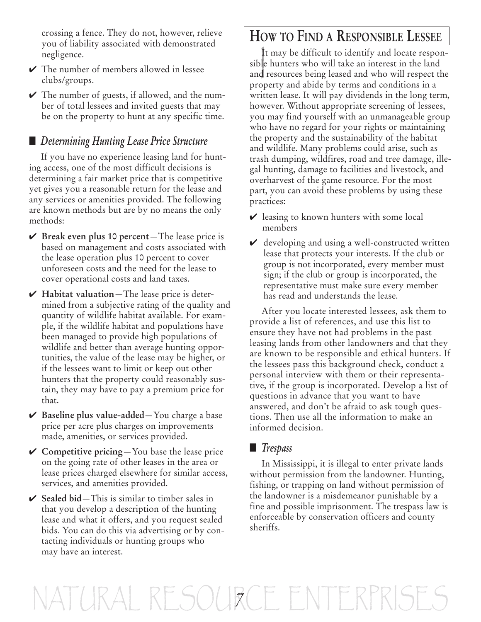crossing a fence. They do not, however, relieve you of liability associated with demonstrated negligence.

- **✔** The number of members allowed in lessee clubs/groups.
- **✔** The number of guests, if allowed, and the number of total lessees and invited guests that may be on the property to hunt at any specific time.

#### **■** *Determining Hunting Lease Price Structure*

If you have no experience leasing land for hunting access, one of the most difficult decisions is determining a fair market price that is competitive yet gives you a reasonable return for the lease and any services or amenities provided. The following are known methods but are by no means the only methods:

- **✔ Break even plus 10 percent**—The lease price is based on management and costs associated with the lease operation plus 10 percent to cover unforeseen costs and the need for the lease to cover operational costs and land taxes.
- **✔ Habitat valuation**—The lease price is determined from a subjective rating of the quality and quantity of wildlife habitat available. For example, if the wildlife habitat and populations have been managed to provide high populations of wildlife and better than average hunting opportunities, the value of the lease may be higher, or if the lessees want to limit or keep out other hunters that the property could reasonably sustain, they may have to pay a premium price for that.
- **✔ Baseline plus value-added**—You charge a base price per acre plus charges on improvements made, amenities, or services provided.
- **✔ Competitive pricing**—You base the lease price on the going rate of other leases in the area or lease prices charged elsewhere for similar access, services, and amenities provided.
- **✔ Sealed bid**—This is similar to timber sales in that you develop a description of the hunting lease and what it offers, and you request sealed bids. You can do this via advertising or by contacting individuals or hunting groups who may have an interest.

### **HOW TO FIND A RESPONSIBLE LESSEE**

It may be difficult to identify and locate resposible hunters who will take an interest in the land It may be difficult to identify and locate responand resources being leased and who will respect the property and abide by terms and conditions in a written lease. It will pay dividends in the long term, however. Without appropriate screening of lessees, you may find yourself with an unmanageable group who have no regard for your rights or maintaining the property and the sustainability of the habitat and wildlife. Many problems could arise, such as trash dumping, wildfires, road and tree damage, illegal hunting, damage to facilities and livestock, and overharvest of the game resource. For the most part, you can avoid these problems by using these practices:

- **✔** leasing to known hunters with some local members
- **✔** developing and using a well-constructed written lease that protects your interests. If the club or group is not incorporated, every member must sign; if the club or group is incorporated, the representative must make sure every member has read and understands the lease.

After you locate interested lessees, ask them to provide a list of references, and use this list to ensure they have not had problems in the past leasing lands from other landowners and that they are known to be responsible and ethical hunters. If the lessees pass this background check, conduct a personal interview with them or their representative, if the group is incorporated. Develop a list of questions in advance that you want to have answered, and don't be afraid to ask tough questions. Then use all the information to make an informed decision.

#### **■** *Trespass*

In Mississippi, it is illegal to enter private lands without permission from the landowner. Hunting, fishing, or trapping on land without permission of the landowner is a misdemeanor punishable by a fine and possible imprisonment. The trespass law is enforceable by conservation officers and county sheriffs.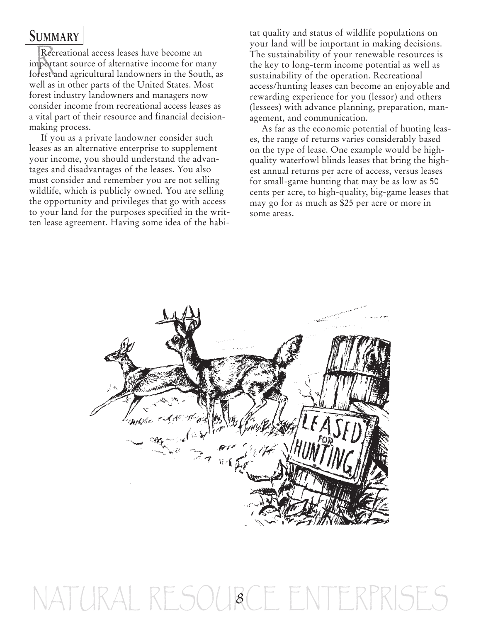### **SUMMARY**

**EUMMINITED**<br>
Recreational access leases have become an<br>
important source of alternative income for many Recreational access leases have become an forest and agricultural landowners in the South, as well as in other parts of the United States. Most forest industry landowners and managers now consider income from recreational access leases as a vital part of their resource and financial decisionmaking process.

If you as a private landowner consider such leases as an alternative enterprise to supplement your income, you should understand the advantages and disadvantages of the leases. You also must consider and remember you are not selling wildlife, which is publicly owned. You are selling the opportunity and privileges that go with access to your land for the purposes specified in the written lease agreement. Having some idea of the habitat quality and status of wildlife populations on your land will be important in making decisions. The sustainability of your renewable resources is the key to long-term income potential as well as sustainability of the operation. Recreational access/hunting leases can become an enjoyable and rewarding experience for you (lessor) and others (lessees) with advance planning, preparation, management, and communication.

As far as the economic potential of hunting leases, the range of returns varies considerably based on the type of lease. One example would be highquality waterfowl blinds leases that bring the highest annual returns per acre of access, versus leases for small-game hunting that may be as low as 50 cents per acre, to high-quality, big-game leases that may go for as much as \$25 per acre or more in some areas.



## $2FSAU$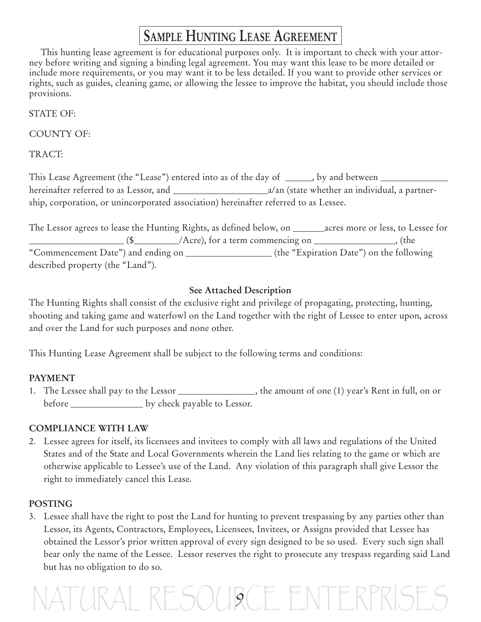### **SAMPLE HUNTING LEASE AGREEMENT**

This hunting lease agreement is for educational purposes only. It is important to check with your attorney before writing and signing a binding legal agreement. You may want this lease to be more detailed or include more requirements, or you may want it to be less detailed. If you want to provide other services or rights, such as guides, cleaning game, or allowing the lessee to improve the habitat, you should include those provisions.

STATE OF:

COUNTY OF:

TRACT:

This Lease Agreement (the "Lease") entered into as of the day of \_\_\_\_\_, by and between \_\_\_\_\_\_\_\_\_\_\_\_\_ hereinafter referred to as Lessor, and \_\_\_\_\_\_\_\_\_\_\_\_\_\_\_\_\_\_\_\_\_a/an (state whether an individual, a partnership, corporation, or unincorporated association) hereinafter referred to as Lessee.

The Lessor agrees to lease the Hunting Rights, as defined below, on \_\_\_\_\_\_\_acres more or less, to Lessee for  $\frac{1}{\sqrt{2\pi}}$  (\$  $\frac{1}{\sqrt{2\pi}}$  /Acre), for a term commencing on  $\frac{1}{\sqrt{2\pi}}$  (the "Commencement Date") and ending on \_\_\_\_\_\_\_\_\_\_\_\_\_\_\_\_\_\_\_ (the "Expiration Date") on the following described property (the "Land").

#### **See Attached Description**

The Hunting Rights shall consist of the exclusive right and privilege of propagating, protecting, hunting, shooting and taking game and waterfowl on the Land together with the right of Lessee to enter upon, across and over the Land for such purposes and none other.

This Hunting Lease Agreement shall be subject to the following terms and conditions:

#### **PAYMENT**

1. The Lessee shall pay to the Lessor \_\_\_\_\_\_\_\_\_\_\_\_\_, the amount of one (1) year's Rent in full, on or before \_\_\_\_\_\_\_\_\_\_\_\_\_\_\_\_ by check payable to Lessor.

#### **COMPLIANCE WITH LAW**

2. Lessee agrees for itself, its licensees and invitees to comply with all laws and regulations of the United States and of the State and Local Governments wherein the Land lies relating to the game or which are otherwise applicable to Lessee's use of the Land. Any violation of this paragraph shall give Lessor the right to immediately cancel this Lease.

#### **POSTING**

3. Lessee shall have the right to post the Land for hunting to prevent trespassing by any parties other than Lessor, its Agents, Contractors, Employees, Licensees, Invitees, or Assigns provided that Lessee has obtained the Lessor's prior written approval of every sign designed to be so used. Every such sign shall bear only the name of the Lessee. Lessor reserves the right to prosecute any trespass regarding said Land but has no obligation to do so.

## RESOURCE ENTERP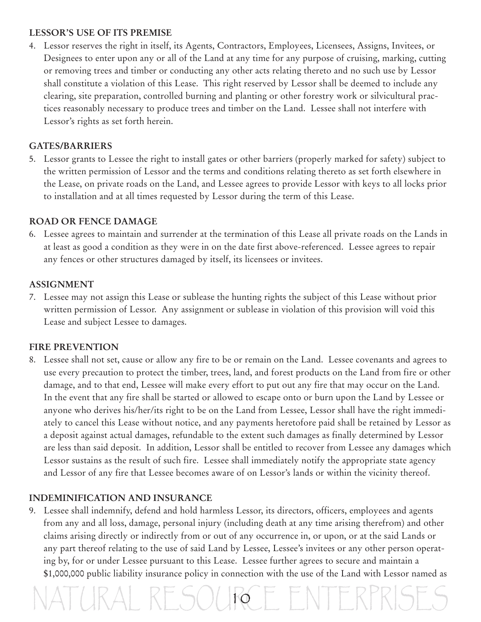#### **LESSOR'S USE OF ITS PREMISE**

4. Lessor reserves the right in itself, its Agents, Contractors, Employees, Licensees, Assigns, Invitees, or Designees to enter upon any or all of the Land at any time for any purpose of cruising, marking, cutting or removing trees and timber or conducting any other acts relating thereto and no such use by Lessor shall constitute a violation of this Lease. This right reserved by Lessor shall be deemed to include any clearing, site preparation, controlled burning and planting or other forestry work or silvicultural practices reasonably necessary to produce trees and timber on the Land. Lessee shall not interfere with Lessor's rights as set forth herein.

#### **GATES/BARRIERS**

5. Lessor grants to Lessee the right to install gates or other barriers (properly marked for safety) subject to the written permission of Lessor and the terms and conditions relating thereto as set forth elsewhere in the Lease, on private roads on the Land, and Lessee agrees to provide Lessor with keys to all locks prior to installation and at all times requested by Lessor during the term of this Lease.

#### **ROAD OR FENCE DAMAGE**

6. Lessee agrees to maintain and surrender at the termination of this Lease all private roads on the Lands in at least as good a condition as they were in on the date first above-referenced. Lessee agrees to repair any fences or other structures damaged by itself, its licensees or invitees.

#### **ASSIGNMENT**

7. Lessee may not assign this Lease or sublease the hunting rights the subject of this Lease without prior written permission of Lessor. Any assignment or sublease in violation of this provision will void this Lease and subject Lessee to damages.

#### **FIRE PREVENTION**

8. Lessee shall not set, cause or allow any fire to be or remain on the Land. Lessee covenants and agrees to use every precaution to protect the timber, trees, land, and forest products on the Land from fire or other damage, and to that end, Lessee will make every effort to put out any fire that may occur on the Land. In the event that any fire shall be started or allowed to escape onto or burn upon the Land by Lessee or anyone who derives his/her/its right to be on the Land from Lessee, Lessor shall have the right immediately to cancel this Lease without notice, and any payments heretofore paid shall be retained by Lessor as a deposit against actual damages, refundable to the extent such damages as finally determined by Lessor are less than said deposit. In addition, Lessor shall be entitled to recover from Lessee any damages which Lessor sustains as the result of such fire. Lessee shall immediately notify the appropriate state agency and Lessor of any fire that Lessee becomes aware of on Lessor's lands or within the vicinity thereof.

#### **INDEMINIFICATION AND INSURANCE**

9. Lessee shall indemnify, defend and hold harmless Lessor, its directors, officers, employees and agents from any and all loss, damage, personal injury (including death at any time arising therefrom) and other claims arising directly or indirectly from or out of any occurrence in, or upon, or at the said Lands or any part thereof relating to the use of said Land by Lessee, Lessee's invitees or any other person operating by, for or under Lessee pursuant to this Lease. Lessee further agrees to secure and maintain a \$1,000,000 public liability insurance policy in connection with the use of the Land with Lessor named as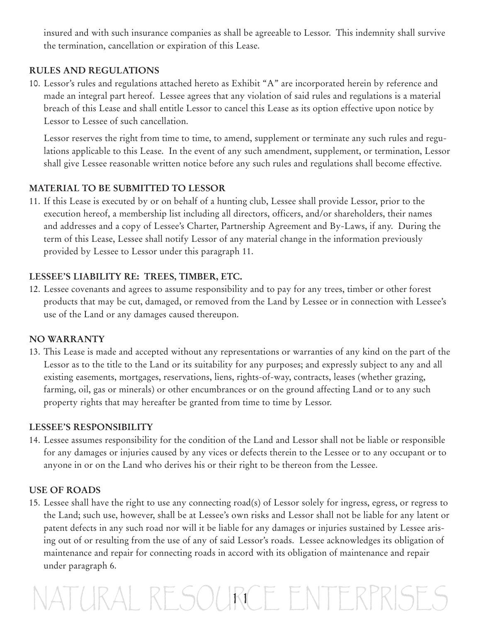insured and with such insurance companies as shall be agreeable to Lessor. This indemnity shall survive the termination, cancellation or expiration of this Lease.

#### **RULES AND REGULATIONS**

10. Lessor's rules and regulations attached hereto as Exhibit "A" are incorporated herein by reference and made an integral part hereof. Lessee agrees that any violation of said rules and regulations is a material breach of this Lease and shall entitle Lessor to cancel this Lease as its option effective upon notice by Lessor to Lessee of such cancellation.

Lessor reserves the right from time to time, to amend, supplement or terminate any such rules and regulations applicable to this Lease. In the event of any such amendment, supplement, or termination, Lessor shall give Lessee reasonable written notice before any such rules and regulations shall become effective.

#### **MATERIAL TO BE SUBMITTED TO LESSOR**

11. If this Lease is executed by or on behalf of a hunting club, Lessee shall provide Lessor, prior to the execution hereof, a membership list including all directors, officers, and/or shareholders, their names and addresses and a copy of Lessee's Charter, Partnership Agreement and By-Laws, if any. During the term of this Lease, Lessee shall notify Lessor of any material change in the information previously provided by Lessee to Lessor under this paragraph 11.

#### **LESSEE'S LIABILITY RE: TREES, TIMBER, ETC.**

12. Lessee covenants and agrees to assume responsibility and to pay for any trees, timber or other forest products that may be cut, damaged, or removed from the Land by Lessee or in connection with Lessee's use of the Land or any damages caused thereupon.

#### **NO WARRANTY**

13. This Lease is made and accepted without any representations or warranties of any kind on the part of the Lessor as to the title to the Land or its suitability for any purposes; and expressly subject to any and all existing easements, mortgages, reservations, liens, rights-of-way, contracts, leases (whether grazing, farming, oil, gas or minerals) or other encumbrances or on the ground affecting Land or to any such property rights that may hereafter be granted from time to time by Lessor.

#### **LESSEE'S RESPONSIBILITY**

14. Lessee assumes responsibility for the condition of the Land and Lessor shall not be liable or responsible for any damages or injuries caused by any vices or defects therein to the Lessee or to any occupant or to anyone in or on the Land who derives his or their right to be thereon from the Lessee.

#### **USE OF ROADS**

15. Lessee shall have the right to use any connecting road(s) of Lessor solely for ingress, egress, or regress to the Land; such use, however, shall be at Lessee's own risks and Lessor shall not be liable for any latent or patent defects in any such road nor will it be liable for any damages or injuries sustained by Lessee arising out of or resulting from the use of any of said Lessor's roads. Lessee acknowledges its obligation of maintenance and repair for connecting roads in accord with its obligation of maintenance and repair under paragraph 6.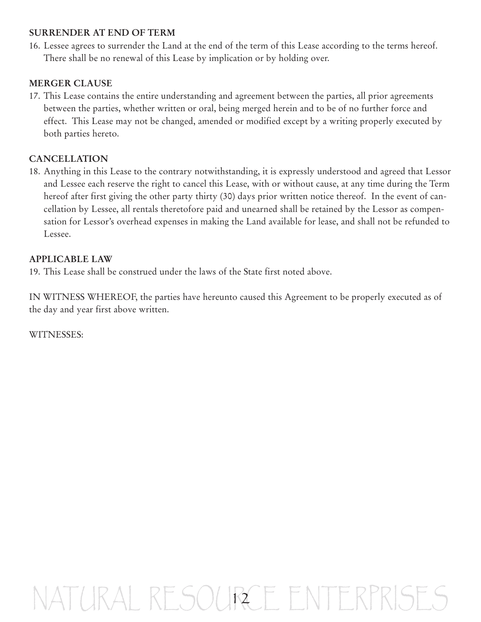#### **SURRENDER AT END OF TERM**

16. Lessee agrees to surrender the Land at the end of the term of this Lease according to the terms hereof. There shall be no renewal of this Lease by implication or by holding over.

#### **MERGER CLAUSE**

17. This Lease contains the entire understanding and agreement between the parties, all prior agreements between the parties, whether written or oral, being merged herein and to be of no further force and effect. This Lease may not be changed, amended or modified except by a writing properly executed by both parties hereto.

#### **CANCELLATION**

18. Anything in this Lease to the contrary notwithstanding, it is expressly understood and agreed that Lessor and Lessee each reserve the right to cancel this Lease, with or without cause, at any time during the Term hereof after first giving the other party thirty (30) days prior written notice thereof. In the event of cancellation by Lessee, all rentals theretofore paid and unearned shall be retained by the Lessor as compensation for Lessor's overhead expenses in making the Land available for lease, and shall not be refunded to Lessee.

#### **APPLICABLE LAW**

19. This Lease shall be construed under the laws of the State first noted above.

IN WITNESS WHEREOF, the parties have hereunto caused this Agreement to be properly executed as of the day and year first above written.

WITNESSES: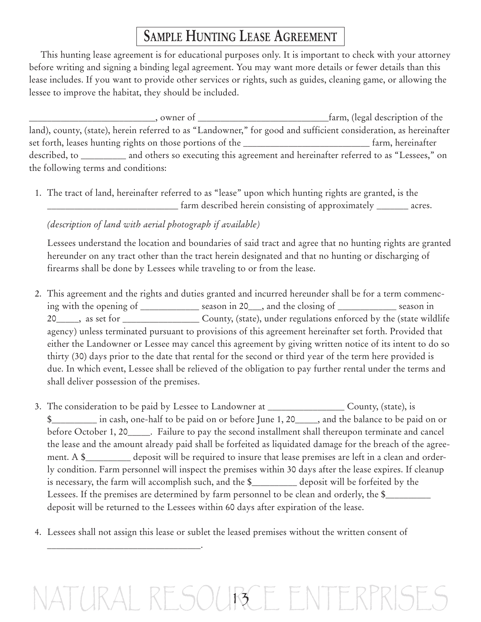## **SAMPLE HUNTING LEASE AGREEMENT**

This hunting lease agreement is for educational purposes only. It is important to check with your attorney before writing and signing a binding legal agreement. You may want more details or fewer details than this lease includes. If you want to provide other services or rights, such as guides, cleaning game, or allowing the lessee to improve the habitat, they should be included.

\_\_\_\_\_\_\_\_\_\_\_\_\_\_\_\_\_\_\_\_\_\_\_\_\_\_\_\_, owner of \_\_\_\_\_\_\_\_\_\_\_\_\_\_\_\_\_\_\_\_\_\_\_\_\_\_\_\_\_farm, (legal description of the land), county, (state), herein referred to as "Landowner," for good and sufficient consideration, as hereinafter set forth, leases hunting rights on those portions of the **weaper of the set of the set of the set of the set of the set of the set of the set of the set of the set of the set of the set of the set of the set of the set of** described, to \_\_\_\_\_\_\_\_\_\_ and others so executing this agreement and hereinafter referred to as "Lessees," on the following terms and conditions:

1. The tract of land, hereinafter referred to as "lease" upon which hunting rights are granted, is the \_\_\_\_\_\_\_\_\_\_\_\_\_\_\_\_\_\_\_\_\_\_\_\_\_\_\_\_\_ farm described herein consisting of approximately \_\_\_\_\_\_\_ acres.

*(description of land with aerial photograph if available)*

\_\_\_\_\_\_\_\_\_\_\_\_\_\_\_\_\_\_\_\_\_\_\_\_\_\_\_\_\_\_\_\_\_\_.

Lessees understand the location and boundaries of said tract and agree that no hunting rights are granted hereunder on any tract other than the tract herein designated and that no hunting or discharging of firearms shall be done by Lessees while traveling to or from the lease.

- 2. This agreement and the rights and duties granted and incurred hereunder shall be for a term commencing with the opening of \_\_\_\_\_\_\_\_\_\_\_\_\_ season in 20\_\_\_, and the closing of \_\_\_\_\_\_\_\_\_\_\_\_\_ season in 20\_\_\_\_\_, as set for \_\_\_\_\_\_\_\_\_\_\_\_\_\_\_\_\_ County, (state), under regulations enforced by the (state wildlife agency) unless terminated pursuant to provisions of this agreement hereinafter set forth. Provided that either the Landowner or Lessee may cancel this agreement by giving written notice of its intent to do so thirty (30) days prior to the date that rental for the second or third year of the term here provided is due. In which event, Lessee shall be relieved of the obligation to pay further rental under the terms and shall deliver possession of the premises.
- 3. The consideration to be paid by Lessee to Landowner at \_\_\_\_\_\_\_\_\_\_\_\_\_\_\_\_\_ County, (state), is \$\_\_\_\_\_\_\_\_\_\_ in cash, one-half to be paid on or before June 1, 20\_\_\_\_\_, and the balance to be paid on or before October 1, 20\_\_\_\_\_. Failure to pay the second installment shall thereupon terminate and cancel the lease and the amount already paid shall be forfeited as liquidated damage for the breach of the agreement. A \$\_\_\_\_\_\_\_\_\_\_ deposit will be required to insure that lease premises are left in a clean and orderly condition. Farm personnel will inspect the premises within 30 days after the lease expires. If cleanup is necessary, the farm will accomplish such, and the \$\_\_\_\_\_\_\_\_\_\_ deposit will be forfeited by the Lessees. If the premises are determined by farm personnel to be clean and orderly, the \$\_\_\_\_\_\_\_\_\_\_\_ deposit will be returned to the Lessees within 60 days after expiration of the lease.
- 4. Lessees shall not assign this lease or sublet the leased premises without the written consent of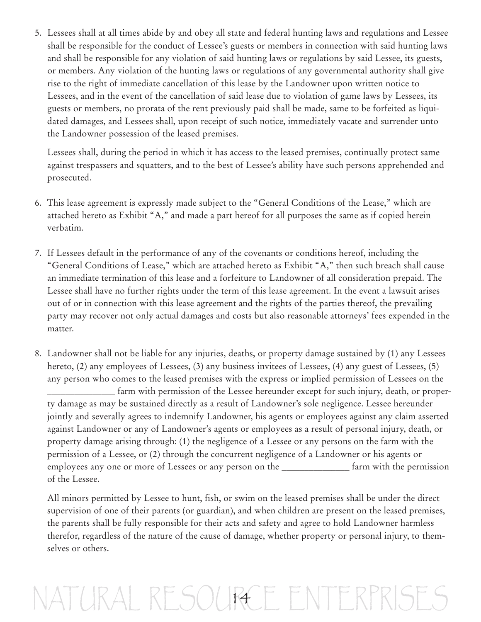5. Lessees shall at all times abide by and obey all state and federal hunting laws and regulations and Lessee shall be responsible for the conduct of Lessee's guests or members in connection with said hunting laws and shall be responsible for any violation of said hunting laws or regulations by said Lessee, its guests, or members. Any violation of the hunting laws or regulations of any governmental authority shall give rise to the right of immediate cancellation of this lease by the Landowner upon written notice to Lessees, and in the event of the cancellation of said lease due to violation of game laws by Lessees, its guests or members, no prorata of the rent previously paid shall be made, same to be forfeited as liquidated damages, and Lessees shall, upon receipt of such notice, immediately vacate and surrender unto the Landowner possession of the leased premises.

Lessees shall, during the period in which it has access to the leased premises, continually protect same against trespassers and squatters, and to the best of Lessee's ability have such persons apprehended and prosecuted.

- 6. This lease agreement is expressly made subject to the "General Conditions of the Lease," which are attached hereto as Exhibit "A," and made a part hereof for all purposes the same as if copied herein verbatim.
- 7. If Lessees default in the performance of any of the covenants or conditions hereof, including the "General Conditions of Lease," which are attached hereto as Exhibit "A," then such breach shall cause an immediate termination of this lease and a forfeiture to Landowner of all consideration prepaid. The Lessee shall have no further rights under the term of this lease agreement. In the event a lawsuit arises out of or in connection with this lease agreement and the rights of the parties thereof, the prevailing party may recover not only actual damages and costs but also reasonable attorneys' fees expended in the matter.
- 8. Landowner shall not be liable for any injuries, deaths, or property damage sustained by (1) any Lessees hereto, (2) any employees of Lessees, (3) any business invitees of Lessees, (4) any guest of Lessees, (5) any person who comes to the leased premises with the express or implied permission of Lessees on the \_\_\_\_\_\_\_\_\_\_\_\_\_\_\_ farm with permission of the Lessee hereunder except for such injury, death, or property damage as may be sustained directly as a result of Landowner's sole negligence. Lessee hereunder jointly and severally agrees to indemnify Landowner, his agents or employees against any claim asserted against Landowner or any of Landowner's agents or employees as a result of personal injury, death, or property damage arising through: (1) the negligence of a Lessee or any persons on the farm with the permission of a Lessee, or (2) through the concurrent negligence of a Landowner or his agents or employees any one or more of Lessees or any person on the \_\_\_\_\_\_\_\_\_\_\_\_\_\_\_ farm with the permission of the Lessee.

All minors permitted by Lessee to hunt, fish, or swim on the leased premises shall be under the direct supervision of one of their parents (or guardian), and when children are present on the leased premises, the parents shall be fully responsible for their acts and safety and agree to hold Landowner harmless therefor, regardless of the nature of the cause of damage, whether property or personal injury, to themselves or others.

## $RAIRTSOMR4$ R4CE ENTERPRISES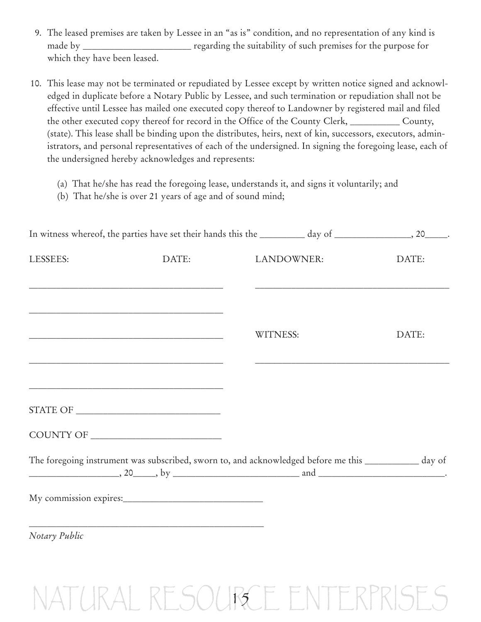- 9. The leased premises are taken by Lessee in an "as is" condition, and no representation of any kind is made by \_\_\_\_\_\_\_\_\_\_\_\_\_\_\_\_\_\_\_\_\_\_\_\_ regarding the suitability of such premises for the purpose for which they have been leased.
- 10. This lease may not be terminated or repudiated by Lessee except by written notice signed and acknowledged in duplicate before a Notary Public by Lessee, and such termination or repudiation shall not be effective until Lessee has mailed one executed copy thereof to Landowner by registered mail and filed the other executed copy thereof for record in the Office of the County Clerk, \_\_\_\_\_\_\_\_\_\_\_ County, (state). This lease shall be binding upon the distributes, heirs, next of kin, successors, executors, administrators, and personal representatives of each of the undersigned. In signing the foregoing lease, each of the undersigned hereby acknowledges and represents:
	- (a) That he/she has read the foregoing lease, understands it, and signs it voluntarily; and
	- (b) That he/she is over 21 years of age and of sound mind;

|               | In witness whereof, the parties have set their hands this the ________ day of ______________________, 20_______.                                                                                                                                                                                                                                                                                      |                 |            |       |
|---------------|-------------------------------------------------------------------------------------------------------------------------------------------------------------------------------------------------------------------------------------------------------------------------------------------------------------------------------------------------------------------------------------------------------|-----------------|------------|-------|
| LESSEES:      | DATE:                                                                                                                                                                                                                                                                                                                                                                                                 |                 | LANDOWNER: | DATE: |
|               | and the control of the control of the control of the control of the control of the control of the control of the                                                                                                                                                                                                                                                                                      |                 |            |       |
|               |                                                                                                                                                                                                                                                                                                                                                                                                       | <b>WITNESS:</b> |            | DATE: |
|               |                                                                                                                                                                                                                                                                                                                                                                                                       |                 |            |       |
|               | <u> 1980 - Johann Barn, mars ann an t-Amhain an t-Amhain ann an t-Amhain an t-Amhain an t-Amhain an t-Amhain an t-</u><br>$\begin{tabular}{c} \bf STATE OF \end{tabular} \begin{tabular}{p{2.5cm}p{2.5cm}p{2.5cm}} \hline \end{tabular}$                                                                                                                                                              |                 |            |       |
|               |                                                                                                                                                                                                                                                                                                                                                                                                       |                 |            |       |
|               | The foregoing instrument was subscribed, sworn to, and acknowledged before me this __________ day of<br>$\frac{1}{1}$ and $\frac{1}{1}$ and $\frac{1}{1}$ and $\frac{1}{1}$ and $\frac{1}{1}$ and $\frac{1}{1}$ and $\frac{1}{1}$ and $\frac{1}{1}$ and $\frac{1}{1}$ and $\frac{1}{1}$ and $\frac{1}{1}$ and $\frac{1}{1}$ and $\frac{1}{1}$ and $\frac{1}{1}$ and $\frac{1}{1}$ and $\frac{1}{1}$ a |                 |            |       |
|               |                                                                                                                                                                                                                                                                                                                                                                                                       |                 |            |       |
| Notary Public |                                                                                                                                                                                                                                                                                                                                                                                                       |                 |            |       |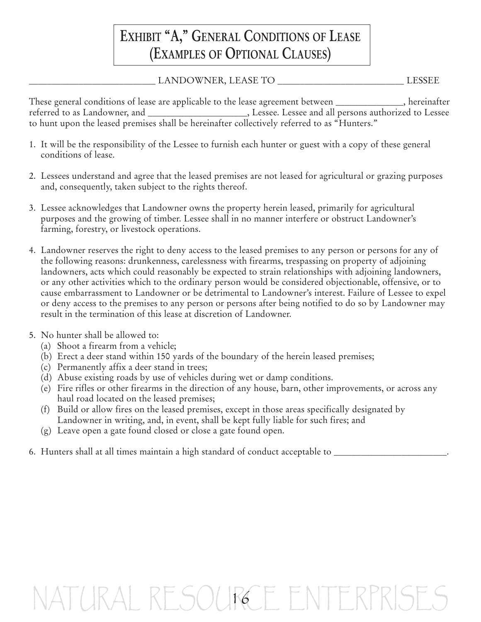### **EXHIBIT "A, " GENERAL CONDITIONS OF LEASE (EXAMPLES OF OPTIONAL CLAUSES)**

#### \_\_\_\_\_\_\_\_\_\_\_\_\_\_\_\_\_\_\_\_\_\_\_\_\_\_\_\_ LANDOWNER, LEASE TO \_\_\_\_\_\_\_\_\_\_\_\_\_\_\_\_\_\_\_\_\_\_\_\_\_\_\_\_ LESSEE

These general conditions of lease are applicable to the lease agreement between \_\_\_\_\_\_\_\_\_\_\_\_\_\_\_, hereinafter referred to as Landowner, and \_\_\_\_\_\_\_\_\_\_\_\_\_\_\_\_\_\_\_\_\_\_, Lessee. Lessee and all persons authorized to Lessee to hunt upon the leased premises shall be hereinafter collectively referred to as "Hunters."

- 1. It will be the responsibility of the Lessee to furnish each hunter or guest with a copy of these general conditions of lease.
- 2. Lessees understand and agree that the leased premises are not leased for agricultural or grazing purposes and, consequently, taken subject to the rights thereof.
- 3. Lessee acknowledges that Landowner owns the property herein leased, primarily for agricultural purposes and the growing of timber. Lessee shall in no manner interfere or obstruct Landowner's farming, forestry, or livestock operations.
- 4. Landowner reserves the right to deny access to the leased premises to any person or persons for any of the following reasons: drunkenness, carelessness with firearms, trespassing on property of adjoining landowners, acts which could reasonably be expected to strain relationships with adjoining landowners, or any other activities which to the ordinary person would be considered objectionable, offensive, or to cause embarrassment to Landowner or be detrimental to Landowner's interest. Failure of Lessee to expel or deny access to the premises to any person or persons after being notified to do so by Landowner may result in the termination of this lease at discretion of Landowner.
- 5. No hunter shall be allowed to:
	- (a) Shoot a firearm from a vehicle;
	- (b) Erect a deer stand within 150 yards of the boundary of the herein leased premises;
	- (c) Permanently affix a deer stand in trees;
	- (d) Abuse existing roads by use of vehicles during wet or damp conditions.
	- (e) Fire rifles or other firearms in the direction of any house, barn, other improvements, or across any haul road located on the leased premises;
	- (f) Build or allow fires on the leased premises, except in those areas specifically designated by Landowner in writing, and, in event, shall be kept fully liable for such fires; and
	- (g) Leave open a gate found closed or close a gate found open.
- 6. Hunters shall at all times maintain a high standard of conduct acceptable to \_\_\_\_\_\_\_\_\_\_\_\_\_\_\_\_\_\_\_\_\_\_\_\_\_.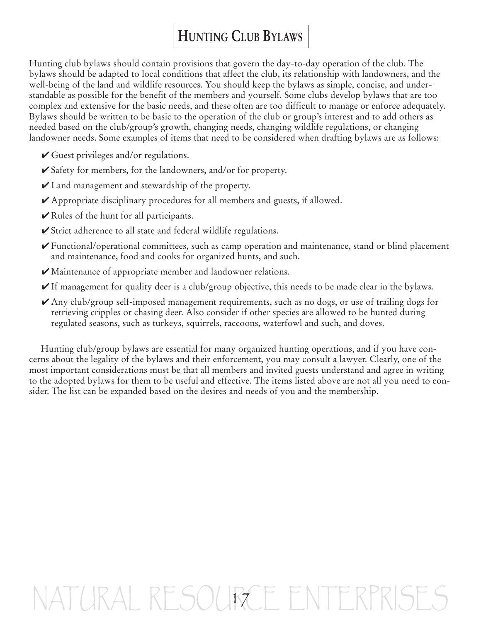## **HUNTING CLUB BYLAWS**

Hunting club bylaws should contain provisions that govern the day-to-day operation of the club. The bylaws should be adapted to local conditions that affect the club, its relationship with landowners, and the well-being of the land and wildlife resources. You should keep the bylaws as simple, concise, and understandable as possible for the benefit of the members and yourself. Some clubs develop bylaws that are too complex and extensive for the basic needs, and these often are too difficult to manage or enforce adequately. Bylaws should be written to be basic to the operation of the club or group's interest and to add others as needed based on the club/group's growth, changing needs, changing wildlife regulations, or changing landowner needs. Some examples of items that need to be considered when drafting bylaws are as follows:

- **✔** Guest privileges and/or regulations.
- **✔** Safety for members, for the landowners, and/or for property.
- **✔** Land management and stewardship of the property.
- **✔** Appropriate disciplinary procedures for all members and guests, if allowed.
- **✔** Rules of the hunt for all participants.
- **✔** Strict adherence to all state and federal wildlife regulations.
- **✔** Functional/operational committees, such as camp operation and maintenance, stand or blind placement and maintenance, food and cooks for organized hunts, and such.
- **✔** Maintenance of appropriate member and landowner relations.
- **►** If management for quality deer is a club/group objective, this needs to be made clear in the bylaws.
- **✔** Any club/group self-imposed management requirements, such as no dogs, or use of trailing dogs for retrieving cripples or chasing deer. Also consider if other species are allowed to be hunted during regulated seasons, such as turkeys, squirrels, raccoons, waterfowl and such, and doves.

Hunting club/group bylaws are essential for many organized hunting operations, and if you have concerns about the legality of the bylaws and their enforcement, you may consult a lawyer. Clearly, one of the most important considerations must be that all members and invited guests understand and agree in writing to the adopted bylaws for them to be useful and effective. The items listed above are not all you need to consider. The list can be expanded based on the desires and needs of you and the membership.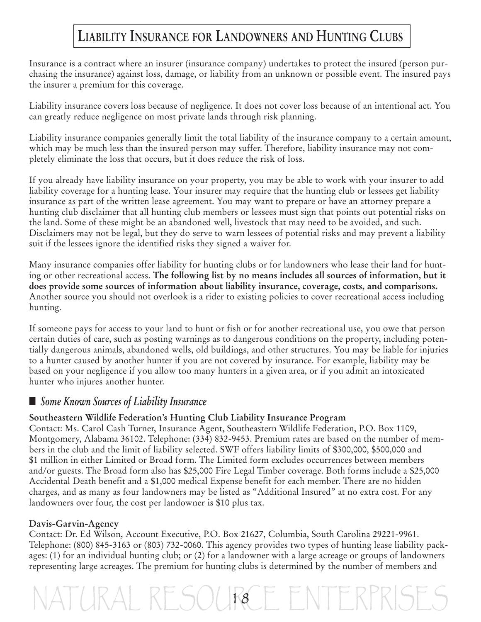### **LIABILITY INSURANCE FOR LANDOWNERS AND HUNTING CLUBS**

Insurance is a contract where an insurer (insurance company) undertakes to protect the insured (person purchasing the insurance) against loss, damage, or liability from an unknown or possible event. The insured pays the insurer a premium for this coverage.

Liability insurance covers loss because of negligence. It does not cover loss because of an intentional act. You can greatly reduce negligence on most private lands through risk planning.

Liability insurance companies generally limit the total liability of the insurance company to a certain amount, which may be much less than the insured person may suffer. Therefore, liability insurance may not completely eliminate the loss that occurs, but it does reduce the risk of loss.

If you already have liability insurance on your property, you may be able to work with your insurer to add liability coverage for a hunting lease. Your insurer may require that the hunting club or lessees get liability insurance as part of the written lease agreement. You may want to prepare or have an attorney prepare a hunting club disclaimer that all hunting club members or lessees must sign that points out potential risks on the land. Some of these might be an abandoned well, livestock that may need to be avoided, and such. Disclaimers may not be legal, but they do serve to warn lessees of potential risks and may prevent a liability suit if the lessees ignore the identified risks they signed a waiver for.

Many insurance companies offer liability for hunting clubs or for landowners who lease their land for hunting or other recreational access. **The following list by no means includes all sources of information, but it does provide some sources of information about liability insurance, coverage, costs, and comparisons.** Another source you should not overlook is a rider to existing policies to cover recreational access including hunting.

If someone pays for access to your land to hunt or fish or for another recreational use, you owe that person certain duties of care, such as posting warnings as to dangerous conditions on the property, including potentially dangerous animals, abandoned wells, old buildings, and other structures. You may be liable for injuries to a hunter caused by another hunter if you are not covered by insurance. For example, liability may be based on your negligence if you allow too many hunters in a given area, or if you admit an intoxicated hunter who injures another hunter.

#### **■** *Some Known Sources of Liability Insurance*

#### **Southeastern Wildlife Federation's Hunting Club Liability Insurance Program**

Contact: Ms. Carol Cash Turner, Insurance Agent, Southeastern Wildlife Federation, P.O. Box 1109, Montgomery, Alabama 36102. Telephone: (334) 832-9453. Premium rates are based on the number of members in the club and the limit of liability selected. SWF offers liability limits of \$300,000, \$500,000 and \$1 million in either Limited or Broad form. The Limited form excludes occurrences between members and/or guests. The Broad form also has \$25,000 Fire Legal Timber coverage. Both forms include a \$25,000 Accidental Death benefit and a \$1,000 medical Expense benefit for each member. There are no hidden charges, and as many as four landowners may be listed as "Additional Insured" at no extra cost. For any landowners over four, the cost per landowner is \$10 plus tax.

#### **Davis-Garvin-Agency**

Contact: Dr. Ed Wilson, Account Executive, P.O. Box 21627, Columbia, South Carolina 29221-9961. Telephone: (800) 845-3163 or (803) 732-0060. This agency provides two types of hunting lease liability packages: (1) for an individual hunting club; or (2) for a landowner with a large acreage or groups of landowners representing large acreages. The premium for hunting clubs is determined by the number of members and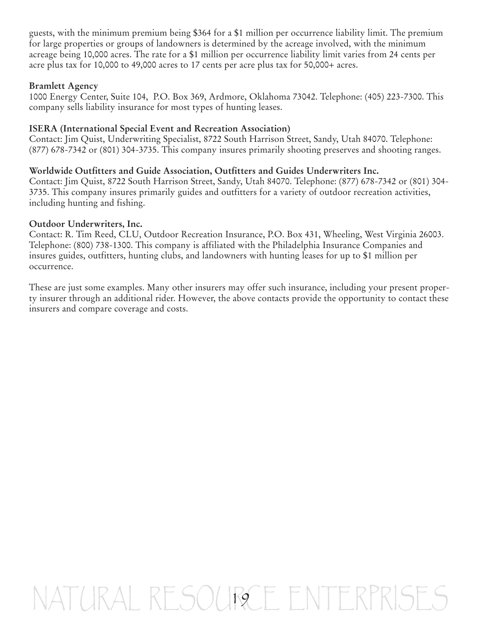guests, with the minimum premium being \$364 for a \$1 million per occurrence liability limit. The premium for large properties or groups of landowners is determined by the acreage involved, with the minimum acreage being 10,000 acres. The rate for a \$1 million per occurrence liability limit varies from 24 cents per acre plus tax for 10,000 to 49,000 acres to 17 cents per acre plus tax for 50,000+ acres.

#### **Bramlett Agency**

1000 Energy Center, Suite 104, P.O. Box 369, Ardmore, Oklahoma 73042. Telephone: (405) 223-7300. This company sells liability insurance for most types of hunting leases.

#### **ISERA (International Special Event and Recreation Association)**

Contact: Jim Quist, Underwriting Specialist, 8722 South Harrison Street, Sandy, Utah 84070. Telephone: (877) 678-7342 or (801) 304-3735. This company insures primarily shooting preserves and shooting ranges.

#### **Worldwide Outfitters and Guide Association, Outfitters and Guides Underwriters Inc.**

Contact: Jim Quist, 8722 South Harrison Street, Sandy, Utah 84070. Telephone: (877) 678-7342 or (801) 304- 3735. This company insures primarily guides and outfitters for a variety of outdoor recreation activities, including hunting and fishing.

#### **Outdoor Underwriters, Inc.**

Contact: R. Tim Reed, CLU, Outdoor Recreation Insurance, P.O. Box 431, Wheeling, West Virginia 26003. Telephone: (800) 738-1300. This company is affiliated with the Philadelphia Insurance Companies and insures guides, outfitters, hunting clubs, and landowners with hunting leases for up to \$1 million per occurrence.

These are just some examples. Many other insurers may offer such insurance, including your present property insurer through an additional rider. However, the above contacts provide the opportunity to contact these insurers and compare coverage and costs.